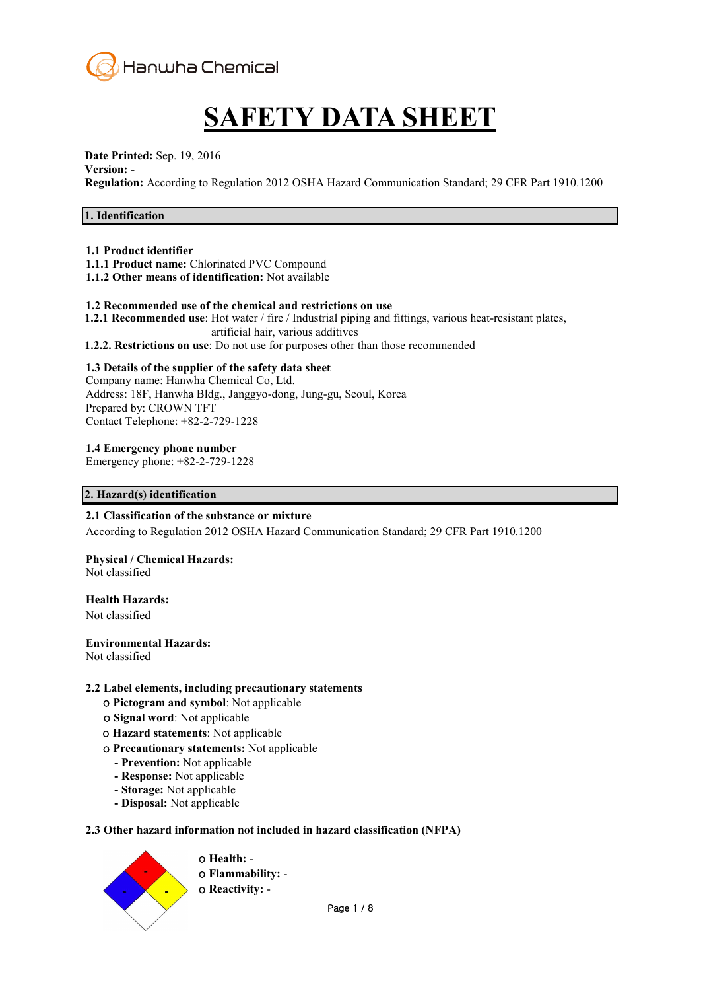

# **SAFETY DATA SHEET**

### **Date Printed:** Sep. 19, 2016

#### **Version: -**

**Regulation:** According to Regulation 2012 OSHA Hazard Communication Standard; 29 CFR Part 1910.1200

# **1. Identification**

#### **1.1 Product identifier**

- **1.1.1 Product name:** Chlorinated PVC Compound
- **1.1.2 Other means of identification:** Not available

#### **1.2 Recommended use of the chemical and restrictions on use**

- **1.2.1 Recommended use**: Hot water / fire / Industrial piping and fittings, various heat-resistant plates, artificial hair, various additives
- **1.2.2. Restrictions on use**: Do not use for purposes other than those recommended

#### **1.3 Details of the supplier of the safety data sheet**

Company name: Hanwha Chemical Co, Ltd. Address: 18F, Hanwha Bldg., Janggyo-dong, Jung-gu, Seoul, Korea Prepared by: CROWN TFT Contact Telephone: +82-2-729-1228

**1.4 Emergency phone number**

Emergency phone: +82-2-729-1228

#### **2. Hazard(s) identification**

# **2.1 Classification of the substance or mixture**

According to Regulation 2012 OSHA Hazard Communication Standard; 29 CFR Part 1910.1200

**Physical / Chemical Hazards:**  Not classified

#### **Health Hazards:**

Not classified

#### **Environmental Hazards:**

Not classified

#### **2.2 Label elements, including precautionary statements**

- ο **Pictogram and symbol**: Not applicable
- ο **Signal word**: Not applicable
- ο **Hazard statements**: Not applicable
- ο **Precautionary statements:** Not applicable
	- **- Prevention:** Not applicable
	- **- Response:** Not applicable
	- **- Storage:** Not applicable
	- **- Disposal:** Not applicable

#### **2.3 Other hazard information not included in hazard classification (NFPA)**

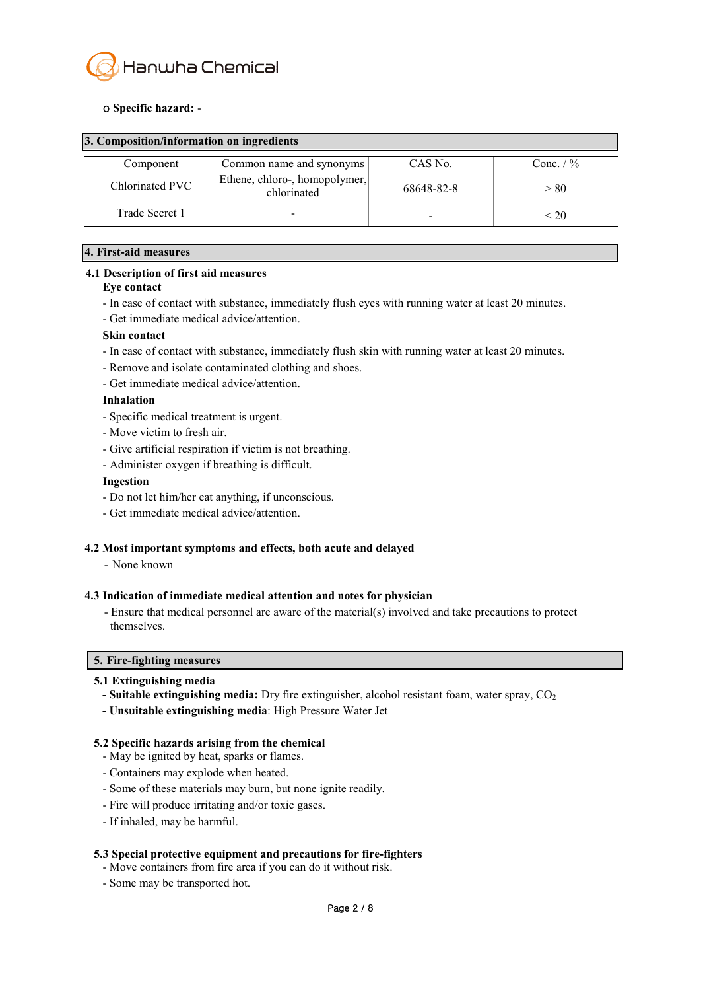

### ο **Specific hazard:** -

| 3. Composition/information on ingredients |                                              |            |             |  |
|-------------------------------------------|----------------------------------------------|------------|-------------|--|
| Component                                 | Common name and synonyms                     | CAS No.    | Conc. $/$ % |  |
| Chlorinated PVC                           | Ethene, chloro-, homopolymer,<br>chlorinated | 68648-82-8 | > 80        |  |
| Trade Secret 1                            |                                              |            | < 20        |  |

#### **4. First-aid measures**

#### **4.1 Description of first aid measures**

#### **Eye contact**

- In case of contact with substance, immediately flush eyes with running water at least 20 minutes. Get immediate medical advice/attention.
- 

#### **Skin contact**

- In case of contact with substance, immediately flush skin with running water at least 20 minutes.
- Remove and isolate contaminated clothing and shoes.
- Get immediate medical advice/attention.

#### **Inhalation**

- Specific medical treatment is urgent.
- Move victim to fresh air.
- Give artificial respiration if victim is not breathing.
- Administer oxygen if breathing is difficult.

#### **Ingestion**

- Do not let him/her eat anything, if unconscious.
- Get immediate medical advice/attention.

#### **4.2 Most important symptoms and effects, both acute and delayed**

- None known

#### **4.3 Indication of immediate medical attention and notes for physician**

- Ensure that medical personnel are aware of the material(s) involved and take precautions to protect themselves.

#### **5. Fire-fighting measures**

- **5.1 Extinguishing media** *a* **- Suitable extinguishing media:** Dry fire extinguisher, alcohol resistant foam, water spray, CO<sub>2</sub>
	- **- Unsuitable extinguishing media**: High Pressure Water Jet

#### **5.2 Specific hazards arising from the chemical**

- May be ignited by heat, sparks or flames.
- Containers may explode when heated.
- Some of these materials may burn, but none ignite readily.
- Fire will produce irritating and/or toxic gases.
- If inhaled, may be harmful.

#### **5.3 Special protective equipment and precautions for fire-fighters**

- Move containers from fire area if you can do it without risk.
- Some may be transported hot.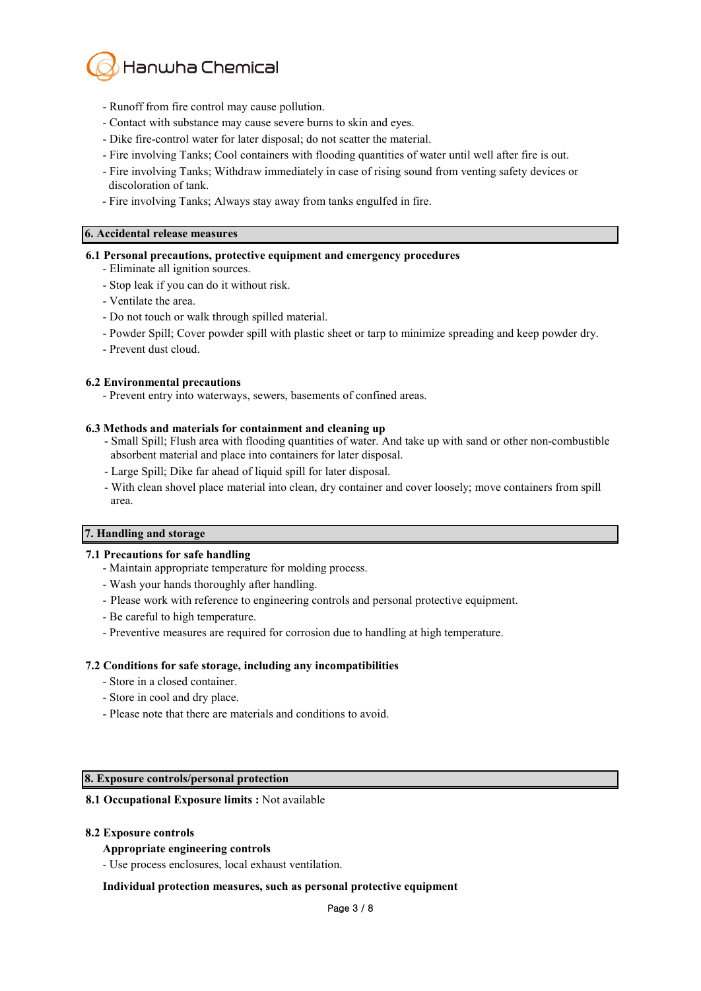

- Runoff from fire control may cause pollution.
- Contact with substance may cause severe burns to skin and eyes.
- Dike fire-control water for later disposal; do not scatter the material.
- Fire involving Tanks; Cool containers with flooding quantities of water until well after fire is out.
- Fire involving Tanks; Withdraw immediately in case of rising sound from venting safety devices or discoloration of tank.
- Fire involving Tanks; Always stay away from tanks engulfed in fire.

#### **6. Accidental release measures**

#### **6.1 Personal precautions, protective equipment and emergency procedures**

- Eliminate all ignition sources.
- Stop leak if you can do it without risk.
- 
- Ventilate the area. Do not touch or walk through spilled material.
- Powder Spill; Cover powder spill with plastic sheet or tarp to minimize spreading and keep powder dry.
- Prevent dust cloud.

#### **6.2 Environmental precautions**

- Prevent entry into waterways, sewers, basements of confined areas.

#### **6.3 Methods and materials for containment and cleaning up**

- Small Spill; Flush area with flooding quantities of water. And take up with sand or other non-combustible absorbent material and place into containers for later disposal.
- Large Spill; Dike far ahead of liquid spill for later disposal.
- With clean shovel place material into clean, dry container and cover loosely; move containers from spill area.

#### **7. Handling and storage**

#### **7.1 Precautions for safe handling**

- Maintain appropriate temperature for molding process.
- Wash your hands thoroughly after handling.
- Please work with reference to engineering controls and personal protective equipment.
- Be careful to high temperature.
- Preventive measures are required for corrosion due to handling at high temperature.

#### **7.2 Conditions for safe storage, including any incompatibilities**

- Store in a closed container.
- Store in cool and dry place.
- Please note that there are materials and conditions to avoid.

#### **8. Exposure controls/personal protection**

#### **8.1 Occupational Exposure limits :** Not available

#### **8.2 Exposure controls**

#### **Appropriate engineering controls**

- Use process enclosures, local exhaust ventilation.

#### **Individual protection measures, such as personal protective equipment**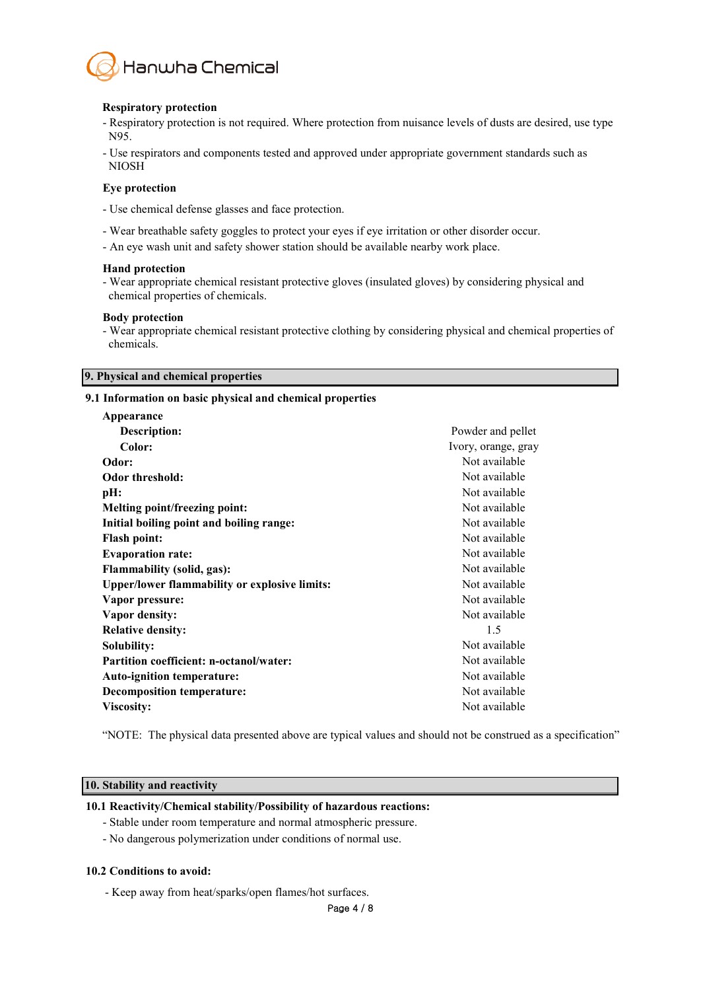

#### **Respiratory protection**

- Respiratory protection is not required. Where protection from nuisance levels of dusts are desired, use type N95.
- Use respirators and components tested and approved under appropriate government standards such as NIOSH

#### **Eye protection**

- Use chemical defense glasses and face protection.
- Wear breathable safety goggles to protect your eyes if eye irritation or other disorder occur.
- An eye wash unit and safety shower station should be available nearby work place.

#### **Hand protection**

- Wear appropriate chemical resistant protective gloves (insulated gloves) by considering physical and chemical properties of chemicals.

#### **Body protection**

- Wear appropriate chemical resistant protective clothing by considering physical and chemical properties of chemicals.

#### **9. Physical and chemical properties**

#### **9.1 Information on basic physical and chemical properties**

| Appearance                                           |                     |
|------------------------------------------------------|---------------------|
| <b>Description:</b>                                  | Powder and pellet   |
| Color:                                               | Ivory, orange, gray |
| Odor:                                                | Not available       |
| <b>Odor threshold:</b>                               | Not available       |
| pH:                                                  | Not available       |
| <b>Melting point/freezing point:</b>                 | Not available       |
| Initial boiling point and boiling range:             | Not available       |
| <b>Flash point:</b>                                  | Not available       |
| <b>Evaporation rate:</b>                             | Not available       |
| <b>Flammability (solid, gas):</b>                    | Not available       |
| <b>Upper/lower flammability or explosive limits:</b> | Not available       |
| Vapor pressure:                                      | Not available       |
| Vapor density:                                       | Not available       |
| <b>Relative density:</b>                             | 1.5                 |
| Solubility:                                          | Not available       |
| <b>Partition coefficient: n-octanol/water:</b>       | Not available       |
| <b>Auto-ignition temperature:</b>                    | Not available       |
| <b>Decomposition temperature:</b>                    | Not available       |
| <b>Viscosity:</b>                                    | Not available       |
|                                                      |                     |

"NOTE: The physical data presented above are typical values and should not be construed as a specification"

#### **10. Stability and reactivity**

#### **10.1 Reactivity/Chemical stability/Possibility of hazardous reactions:**

- Stable under room temperature and normal atmospheric pressure.
- No dangerous polymerization under conditions of normal use.

#### **10.2 Conditions to avoid:**

- Keep away from heat/sparks/open flames/hot surfaces.

Page 4 / 8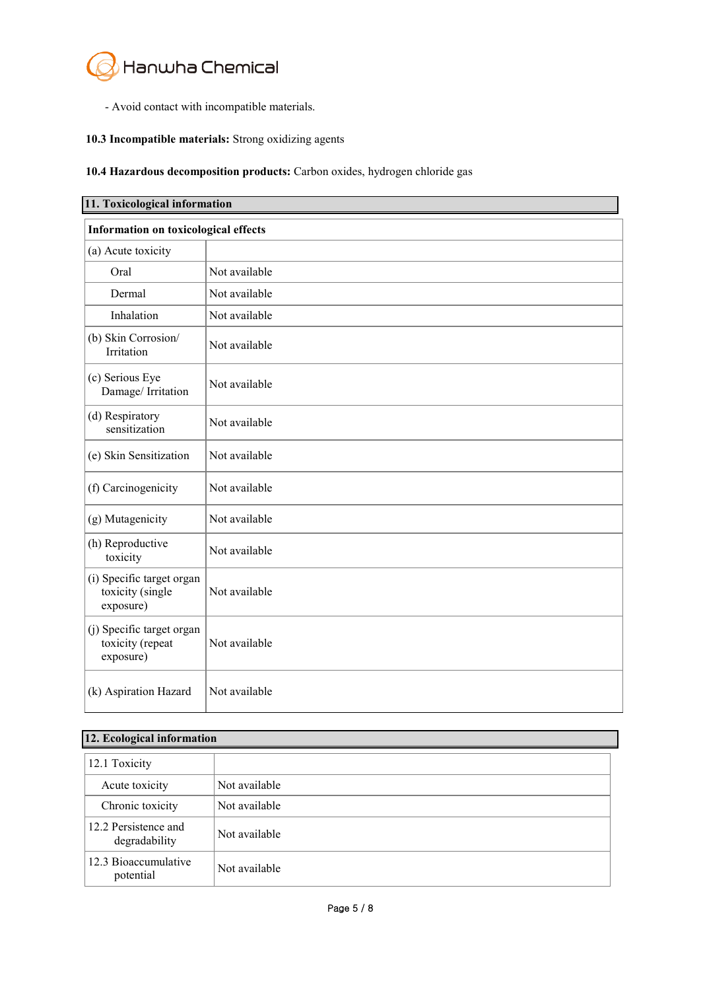

- Avoid contact with incompatible materials.

# **10.3 Incompatible materials:** Strong oxidizing agents

### **10.4 Hazardous decomposition products:** Carbon oxides, hydrogen chloride gas

| 11. Toxicological information                              |               |  |
|------------------------------------------------------------|---------------|--|
| <b>Information on toxicological effects</b>                |               |  |
| (a) Acute toxicity                                         |               |  |
| Oral                                                       | Not available |  |
| Dermal                                                     | Not available |  |
| Inhalation                                                 | Not available |  |
| (b) Skin Corrosion/<br>Irritation                          | Not available |  |
| (c) Serious Eye<br>Damage/ Irritation                      | Not available |  |
| (d) Respiratory<br>sensitization                           | Not available |  |
| (e) Skin Sensitization                                     | Not available |  |
| (f) Carcinogenicity                                        | Not available |  |
| (g) Mutagenicity                                           | Not available |  |
| (h) Reproductive<br>toxicity                               | Not available |  |
| (i) Specific target organ<br>toxicity (single<br>exposure) | Not available |  |
| (j) Specific target organ<br>toxicity (repeat<br>exposure) | Not available |  |
| (k) Aspiration Hazard                                      | Not available |  |

# **12. Ecological information**

| 12.1 Toxicity                         |               |
|---------------------------------------|---------------|
| Acute toxicity                        | Not available |
| Chronic toxicity                      | Not available |
| 12.2 Persistence and<br>degradability | Not available |
| 12.3 Bioaccumulative<br>potential     | Not available |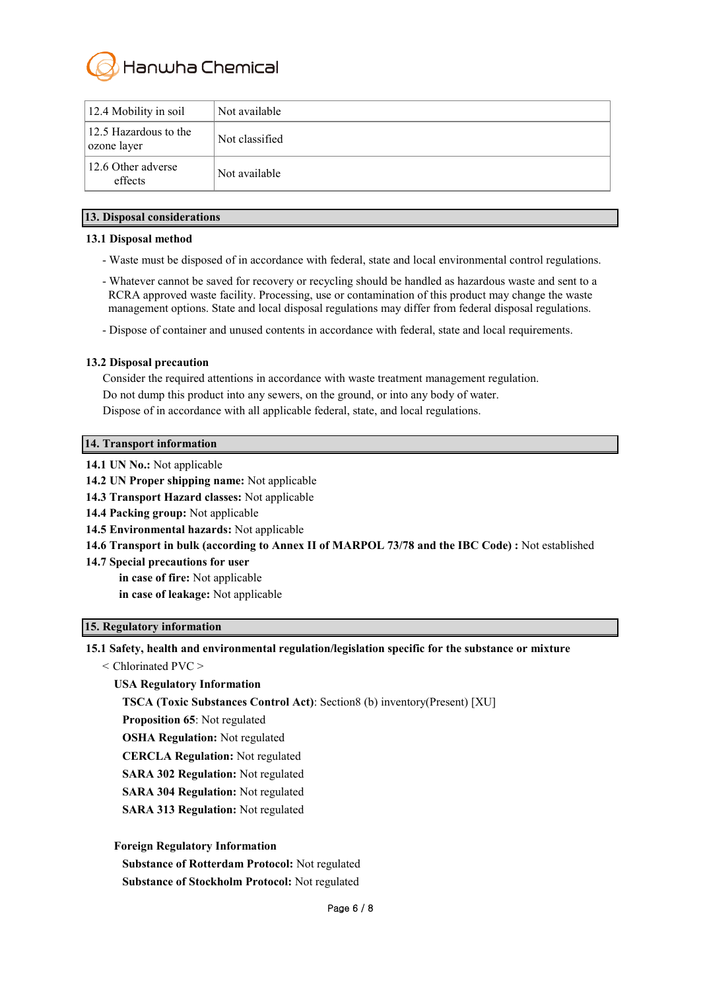

| 12.4 Mobility in soil                | Not available  |
|--------------------------------------|----------------|
| 12.5 Hazardous to the<br>ozone layer | Not classified |
| 12.6 Other adverse<br>effects        | Not available  |

#### **13. Disposal considerations**

#### **13.1 Disposal method**

- Waste must be disposed of in accordance with federal, state and local environmental control regulations.
- Whatever cannot be saved for recovery or recycling should be handled as hazardous waste and sent to a RCRA approved waste facility. Processing, use or contamination of this product may change the waste management options. State and local disposal regulations may differ from federal disposal regulations.
- Dispose of container and unused contents in accordance with federal, state and local requirements.

### **13.2 Disposal precaution**

Consider the required attentions in accordance with waste treatment management regulation. Do not dump this product into any sewers, on the ground, or into any body of water. Dispose of in accordance with all applicable federal, state, and local regulations.

#### **14. Transport information**

- **14.1 UN No.:** Not applicable
- **14.2 UN Proper shipping name:** Not applicable
- **14.3 Transport Hazard classes:** Not applicable
- **14.4 Packing group:** Not applicable
- **14.5 Environmental hazards:** Not applicable
- **14.6 Transport in bulk (according to Annex II of MARPOL 73/78 and the IBC Code) :** Not established
- **14.7 Special precautions for user**
	- **in case of fire:** Not applicable

**in case of leakage:** Not applicable

# **15. Regulatory information**

**15.1 Safety, health and environmental regulation/legislation specific for the substance or mixture**

< Chlorinated PVC >

# **USA Regulatory Information**

**TSCA (Toxic Substances Control Act)**: Section8 (b) inventory(Present) [XU]

**Proposition 65**: Not regulated

- **OSHA Regulation:** Not regulated
- **CERCLA Regulation:** Not regulated
- **SARA 302 Regulation:** Not regulated
- **SARA 304 Regulation:** Not regulated
- **SARA 313 Regulation:** Not regulated

**Foreign Regulatory Information**

**Substance of Rotterdam Protocol:** Not regulated

**Substance of Stockholm Protocol:** Not regulated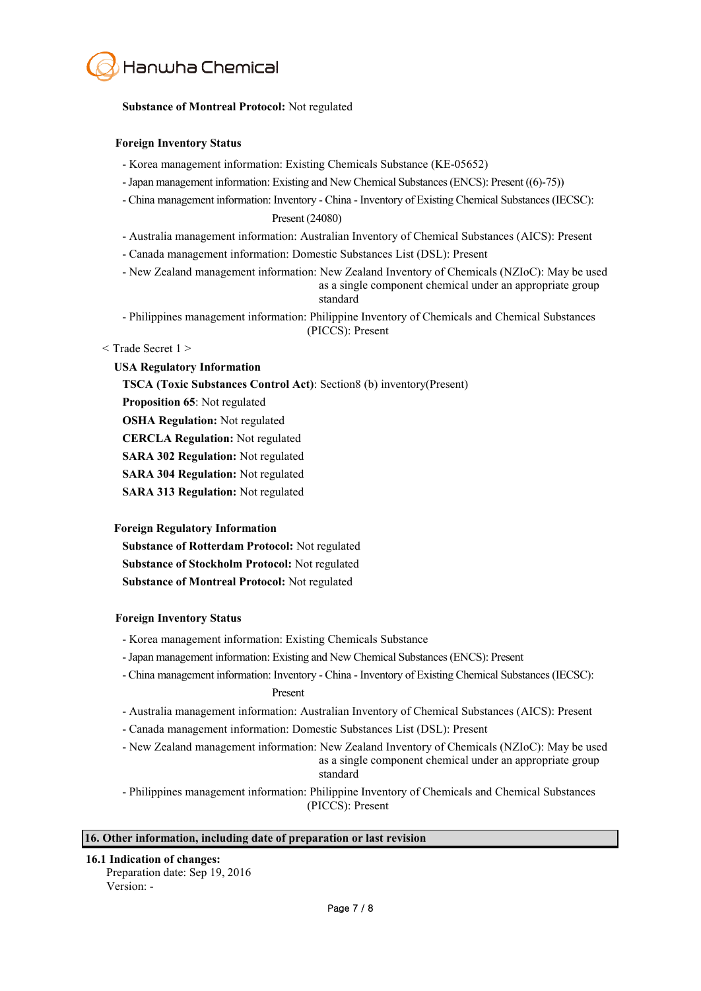

#### **Substance of Montreal Protocol:** Not regulated

#### **Foreign Inventory Status**

- Korea management information: Existing Chemicals Substance (KE-05652)
- -Japan management information: Existing and New Chemical Substances (ENCS): Present ((6)-75))
- China management information: Inventory China Inventory of Existing Chemical Substances (IECSC): Present (24080)
- Australia management information: Australian Inventory of Chemical Substances (AICS): Present
- Canada management information: Domestic Substances List (DSL): Present
- New Zealand management information: New Zealand Inventory of Chemicals (NZIoC): May be used as a single component chemical under an appropriate group standard
- Philippines management information: Philippine Inventory of Chemicals and Chemical Substances (PICCS): Present

#### < Trade Secret 1 >

#### **USA Regulatory Information**

**TSCA (Toxic Substances Control Act)**: Section8 (b) inventory(Present)

**Proposition 65**: Not regulated

**OSHA Regulation:** Not regulated

**CERCLA Regulation:** Not regulated

**SARA 302 Regulation:** Not regulated

**SARA 304 Regulation:** Not regulated

**SARA 313 Regulation:** Not regulated

#### **Foreign Regulatory Information**

**Substance of Rotterdam Protocol:** Not regulated **Substance of Stockholm Protocol:** Not regulated **Substance of Montreal Protocol:** Not regulated

#### **Foreign Inventory Status**

- Korea management information: Existing Chemicals Substance
- 
- -Japan management information: Existing and New Chemical Substances (ENCS): Present China management information: Inventory China Inventory of Existing Chemical Substances (IECSC):

#### Present

- Australia management information: Australian Inventory of Chemical Substances (AICS): Present
- Canada management information: Domestic Substances List (DSL): Present
- New Zealand management information: New Zealand Inventory of Chemicals (NZIoC): May be used as a single component chemical under an appropriate group standard

- Philippines management information: Philippine Inventory of Chemicals and Chemical Substances (PICCS): Present

#### **16. Other information, including date of preparation or last revision**

#### **16.1 Indication of changes:**

 Preparation date: Sep 19, 2016 Version: -